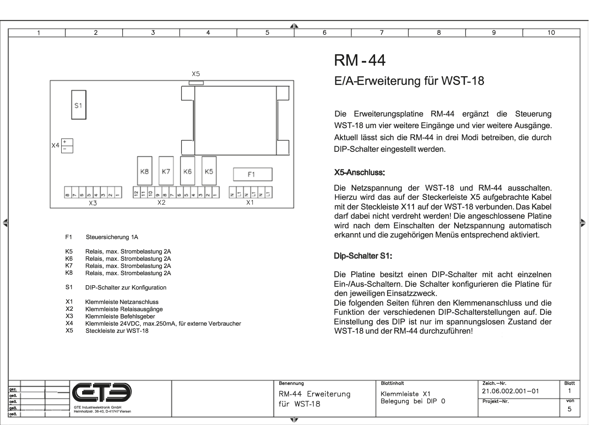

 $\overline{\mathbf{3}}$ 

 $\overline{4}$ 

 $F1$ Steuersicherung 1A

 $\overline{2}$ 

 $\overline{1}$ 

╡

- K<sub>5</sub> Relais, max. Strombelastung 2A
- K<sub>6</sub> Relais, max. Strombelastung 2A
- K7 Relais, max. Strombelastung 2A K8
- Relais, max. Strombelastung 2A
- $S<sub>1</sub>$ DIP-Schalter zur Konfiguration
- $X1$ **Klemmleiste Netzanschluss**
- $X<sub>2</sub>$ Klemmleiste Relaisausgänge
- $X3$ Klemmleiste Befehlsgeber
- **X4** Klemmleiste 24VDC, max.250mA, für externe Verbraucher
- $X<sub>5</sub>$ Steckleiste zur WST-18

# **RM-44**

 $\overline{5}$ 

## E/A-Erweiterung für WST-18

Die Erweiterungsplatine RM-44 ergänzt die Steuerung WST-18 um vier weitere Eingänge und vier weitere Ausgänge. Aktuell lässt sich die RM-44 in drei Modi betreiben, die durch DIP-Schalter eingestellt werden.

 $\overline{\mathbf{r}}$ 

 $\overline{q}$ 

 $\overline{10}$ 

#### X5-Anschluss:

Die Netzspannung der WST-18 und RM-44 ausschalten. Hierzu wird das auf der Steckerleiste X5 aufgebrachte Kabel mit der Steckleiste X11 auf der WST-18 verbunden. Das Kabel darf dabei nicht verdreht werden! Die angeschlossene Platine wird nach dem Einschalten der Netzspannung automatisch erkannt und die zugehörigen Menüs entsprechend aktiviert.

#### **Dip-Schalter S1:**

Die Platine besitzt einen DIP-Schalter mit acht einzelnen Ein-/Aus-Schaltern. Die Schalter konfigurieren die Platine für den jeweiligen Einsatzzweck.

Die folgenden Seiten führen den Klemmenanschluss und die Funktion der verschiedenen DIP-Schalterstellungen auf. Die Einstellung des DIP ist nur im spannungslosen Zustand der WST-18 und der RM-44 durchzuführen!

|              |  |  |                                      |  | Benennung            | Blattinhalt        | Zeich.-Nr.                      | Blatt |
|--------------|--|--|--------------------------------------|--|----------------------|--------------------|---------------------------------|-------|
| gez.         |  |  |                                      |  | RM-44<br>Erweiterung |                    | $^{\circ}$ 21.06.002.001 $-$ 01 |       |
| geä.         |  |  |                                      |  |                      | Klemmleiste X1     |                                 |       |
| geä.         |  |  |                                      |  | für WST-18           | Belegung bei DIP 0 | Projekt-Nr.                     | von   |
| <u>lgeä.</u> |  |  | GTE Industrieelektronik GmbH         |  |                      |                    |                                 |       |
| lgeä.        |  |  | Helmholtzstr. 38-40, D-41747 Viersen |  |                      |                    |                                 |       |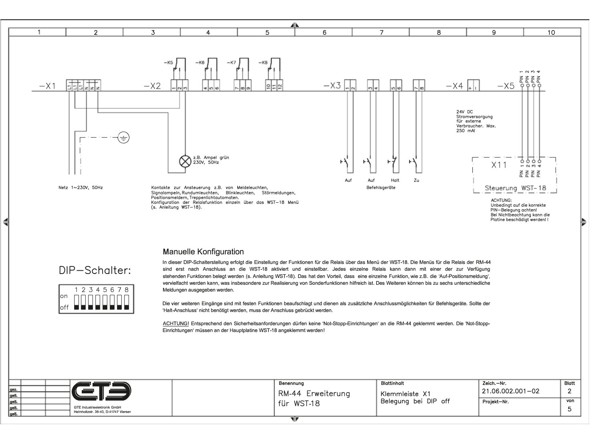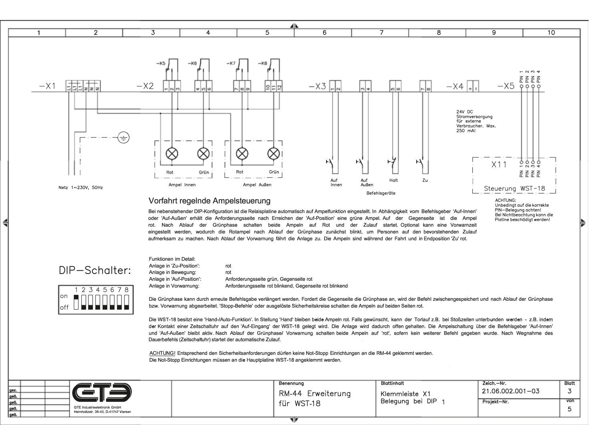

#### Vorfahrt regelnde Ampelsteuerung

rot

rot

Funktionen im Detail: Anlage in 'Zu-Position':

Anlage in Bewegung:

Anlage in 'Auf-Position':

Anlage in Vorwarnung:

## Bei nebenstehender DIP-Konfiguration ist die Relaisplatine automatisch auf Ampelfunktion eingestellt. In Abhängigkeit vom Befehlsgeber 'Auf-Innen' oder 'Auf-Außen' erhält die Anforderungsseite nach Erreichen der 'Auf-Position' eine grüne Ampel. Auf der Gegenseite ist die Ampel eingestellt werden, wodurch die Rotampel nach Ablauf der Grünphase zunächst blinkt, um Personen auf den bevorstehenden Zulauf

ACHTUNG: Unbedingt auf die korrekte PIN-Belegung achten! Bei Nichtbeachtung kann die Platine beschädigt werden!

rot. Nach Ablauf der Grünphase schalten beide Ampeln auf Rot und der Zulauf startet. Optional kann eine Vorwarnzeit aufmerksam zu machen. Nach Ablauf der Vorwarnung fährt die Anlage zu. Die Ampeln sind während der Fahrt und in Endposition 'Zu' rot.

| DIP-Schalter: |
|---------------|

╡

2345678 on  $\circ$ ff

Die Grünphase kann durch erneute Befehlsgabe verlängert werden. Fordert die Gegenseite die Grünphase an, wird der Befehl zwischengespeichert und nach Ablauf der Grünphase bzw. Vorwarnung abgearbeitet. 'Stopp-Befehle' oder ausgelöste Sicherheitskreise schalten die Ampeln auf beiden Seiten rot.

Die WST-18 besitzt eine 'Hand-/Auto-Funktion'. In Stellung 'Hand' bleiben beide Ampeln rot. Falls gewünscht, kann der Torlauf z.B. bei Stoßzeiten unterbunden werden - z.B. indem der Kontakt einer Zeitschaltuhr auf den 'Auf-Eingang' der WST-18 gelegt wird. Die Anlage wird dadurch offen gehalten. Die Ampelschaltung über die Befehlsgeber 'Auf-Innen' und 'Auf-Außen' bleibt aktiv. Nach Ablauf der Grünphase/ Vorwarnung schalten beide Ampeln auf 'rot', sofern kein weiterer Befehl gegeben wurde. Nach Wegnahme des Dauerbefehls (Zeitschaltuhr) startet der automatische Zulauf.

ACHTUNG! Entsprechend den Sicherheitsanforderungen dürfen keine Not-Stopp Einrichtungen an die RM-44 geklemmt werden. Die Not-Stopp Einrichtungen müssen an die Hauptolatine WST-18 angeklemmt werden.

Anforderungsseite rot blinkend, Gegenseite rot blinkend

Anforderungsseite grün, Gegenseite rot

|       |                                      | Benennung         | Blattinhalt      | Zeich.-Nr.                       | Blatt |
|-------|--------------------------------------|-------------------|------------------|----------------------------------|-------|
| lgez  |                                      |                   |                  | $^{\prime}$ 21.06.002.001 $-$ 03 |       |
|       |                                      | RM-44 Erweiterung | Klemmleiste X1   |                                  |       |
|       |                                      | für WST-18        | Belegung bei DIP | Projekt-Nr.                      | von   |
|       | GTE Industrieelektronik GmbH         |                   |                  |                                  |       |
| Igeä. | Helmholtzstr. 38-40, D-41747 Viersen |                   |                  |                                  |       |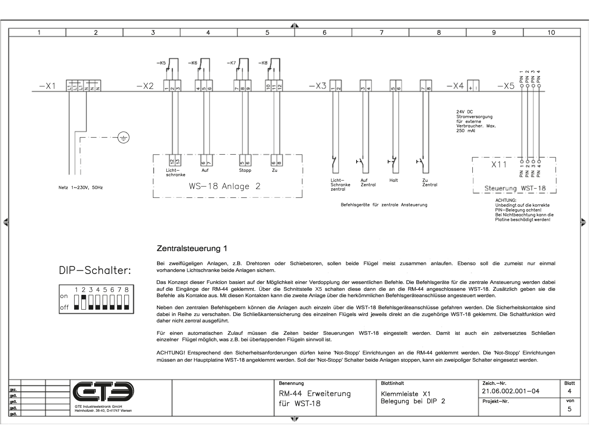

#### Zentralsteuerung 1

### DIP-Schalter:



Bei zweiflügeligen Anlagen, z.B. Drehtoren oder Schiebetoren, sollen beide Flügel meist zusammen anlaufen. Ebenso soll die zumeist nur einmal vorhandene Lichtschranke beide Anlagen sichern.

Das Konzept dieser Funktion basiert auf der Möglichkeit einer Verdopplung der wesentlichen Befehle. Die Befehlsgeräte für die zentrale Ansteuerung werden dabei auf die Eingänge der RM-44 geklemmt. Über die Schnittstelle X5 schalten diese dann die an die RM-44 angeschlossene WST-18. Zusätzlich geben sie die Befehle als Kontakte aus. Mit diesen Kontakten kann die zweite Anlage über die herkömmlichen Befehlsgeräteanschlüsse angesteuert werden.

Neben den zentralen Befehlsgebern können die Anlagen auch einzeln über die WST-18 Befehlsgeräteanschlüsse gefahren werden. Die Sicherheitskontakte sind dabei in Reihe zu verschalten. Die Schließkantensicherung des einzelnen Flügels wird jeweils direkt an die zugehörige WST-18 geklemmt. Die Schaltfunktion wird daher nicht zentral ausgeführt.

Für einen automatischen Zulauf müssen die Zeiten beider Steuerungen WST-18 eingestellt werden. Damit ist auch ein zeitversetztes Schließen einzelner Flügel möglich, was z.B. bei überlappenden Flügeln sinnvoll ist.

ACHTUNG! Entsprechend den Sicherheitsanforderungen dürfen keine 'Not-Stopp' Einrichtungen an die RM-44 geklemmt werden. Die 'Not-Stopp' Einrichtungen müssen an der Hauptplatine WST-18 angeklemmt werden. Soll der 'Not-Stopp' Schalter beide Anlagen stoppen, kann ein zweipoliger Schalter eingesetzt werden.

|        |  |                                      | Benennung                   | <b>Blattinhalt</b> | Zeich.-Nr.       | Blatt |
|--------|--|--------------------------------------|-----------------------------|--------------------|------------------|-------|
| gez.   |  |                                      | <b>RM-44</b><br>Erweiterung |                    | 21.06.002.001-04 |       |
| lgeä   |  |                                      |                             | Klemmleiste X1     |                  |       |
| lgeä.  |  |                                      | für<br><b>WST-18</b>        | Belegung bei DIP 2 | Projekt-Nr.      | von   |
| geä.   |  | GTE Industrieelektronik GmbH         |                             |                    |                  |       |
| l geä. |  | Helmholtzstr. 38-40, D-41747 Viersen |                             |                    |                  |       |